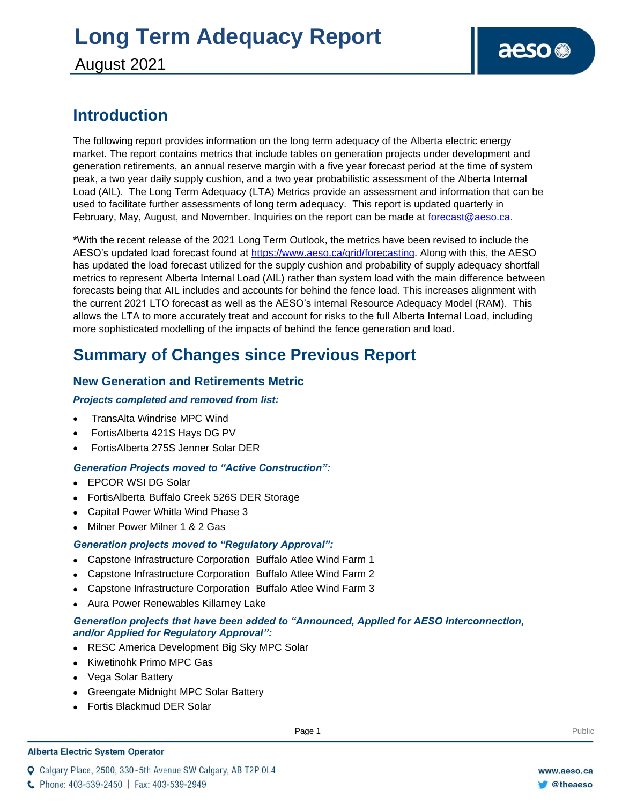August 2021

### **Introduction**

The following report provides information on the long term adequacy of the Alberta electric energy market. The report contains metrics that include tables on generation projects under development and generation retirements, an annual reserve margin with a five year forecast period at the time of system peak, a two year daily supply cushion, and a two year probabilistic assessment of the Alberta Internal Load (AIL). The Long Term Adequacy (LTA) Metrics provide an assessment and information that can be used to facilitate further assessments of long term adequacy. This report is updated quarterly in February, May, August, and November. Inquiries on the report can be made at [forecast@aeso.ca.](mailto:forecast@aeso.ca)

\*With the recent release of the 2021 Long Term Outlook, the metrics have been revised to include the AESO's updated load forecast found at [https://www.aeso.ca/grid/forecasting.](https://www.aeso.ca/grid/forecasting) Along with this, the AESO has updated the load forecast utilized for the supply cushion and probability of supply adequacy shortfall metrics to represent Alberta Internal Load (AIL) rather than system load with the main difference between forecasts being that AIL includes and accounts for behind the fence load. This increases alignment with the current 2021 LTO forecast as well as the AESO's internal Resource Adequacy Model (RAM). This allows the LTA to more accurately treat and account for risks to the full Alberta Internal Load, including more sophisticated modelling of the impacts of behind the fence generation and load.

### **Summary of Changes since Previous Report**

### **New Generation and Retirements Metric**

### *Projects completed and removed from list:*

- TransAlta Windrise MPC Wind
- FortisAlberta 421S Hays DG PV
- FortisAlberta 275S Jenner Solar DER

### *Generation Projects moved to "Active Construction":*

- ⚫ EPCOR WSI DG Solar
- ⚫ FortisAlberta Buffalo Creek 526S DER Storage
- ⚫ Capital Power Whitla Wind Phase 3
- ⚫ Milner Power Milner 1 & 2 Gas

#### *Generation projects moved to "Regulatory Approval":*

- ⚫ Capstone Infrastructure Corporation Buffalo Atlee Wind Farm 1
- ⚫ Capstone Infrastructure Corporation Buffalo Atlee Wind Farm 2
- ⚫ Capstone Infrastructure Corporation Buffalo Atlee Wind Farm 3
- ⚫ Aura Power Renewables Killarney Lake

#### *Generation projects that have been added to "Announced, Applied for AESO Interconnection, and/or Applied for Regulatory Approval":*

- ⚫ RESC America Development Big Sky MPC Solar
- ⚫ Kiwetinohk Primo MPC Gas
- ⚫ Vega Solar Battery
- ⚫ Greengate Midnight MPC Solar Battery
- ⚫ Fortis Blackmud DER Solar

#### **Alberta Electric System Operator**

Q Calgary Place, 2500, 330-5th Avenue SW Calgary, AB T2P 0L4

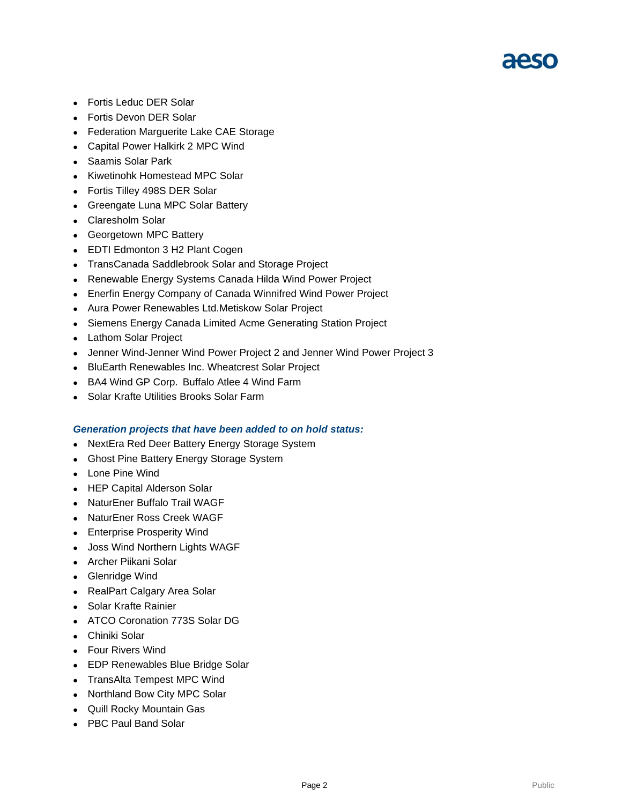## 21250

- ⚫ Fortis Leduc DER Solar
- ⚫ Fortis Devon DER Solar
- ⚫ Federation Marguerite Lake CAE Storage
- ⚫ Capital Power Halkirk 2 MPC Wind
- ⚫ Saamis Solar Park
- ⚫ Kiwetinohk Homestead MPC Solar
- ⚫ Fortis Tilley 498S DER Solar
- ⚫ Greengate Luna MPC Solar Battery
- ⚫ Claresholm Solar
- ⚫ Georgetown MPC Battery
- ⚫ EDTI Edmonton 3 H2 Plant Cogen
- ⚫ TransCanada Saddlebrook Solar and Storage Project
- ⚫ Renewable Energy Systems Canada Hilda Wind Power Project
- ⚫ Enerfin Energy Company of Canada Winnifred Wind Power Project
- ⚫ Aura Power Renewables Ltd.Metiskow Solar Project
- ⚫ Siemens Energy Canada Limited Acme Generating Station Project
- ⚫ Lathom Solar Project
- ⚫ Jenner Wind-Jenner Wind Power Project 2 and Jenner Wind Power Project 3
- ⚫ BluEarth Renewables Inc. Wheatcrest Solar Project
- ⚫ BA4 Wind GP Corp. Buffalo Atlee 4 Wind Farm
- ⚫ Solar Krafte Utilities Brooks Solar Farm

#### *Generation projects that have been added to on hold status:*

- ⚫ NextEra Red Deer Battery Energy Storage System
- ⚫ Ghost Pine Battery Energy Storage System
- ⚫ Lone Pine Wind
- ⚫ HEP Capital Alderson Solar
- ⚫ NaturEner Buffalo Trail WAGF
- ⚫ NaturEner Ross Creek WAGF
- ⚫ Enterprise Prosperity Wind
- ⚫ Joss Wind Northern Lights WAGF
- ⚫ Archer Piikani Solar
- ⚫ Glenridge Wind
- ⚫ RealPart Calgary Area Solar
- ⚫ Solar Krafte Rainier
- ⚫ ATCO Coronation 773S Solar DG
- ⚫ Chiniki Solar
- ⚫ Four Rivers Wind
- ⚫ EDP Renewables Blue Bridge Solar
- ⚫ TransAlta Tempest MPC Wind
- ⚫ Northland Bow City MPC Solar
- ⚫ Quill Rocky Mountain Gas
- ⚫ PBC Paul Band Solar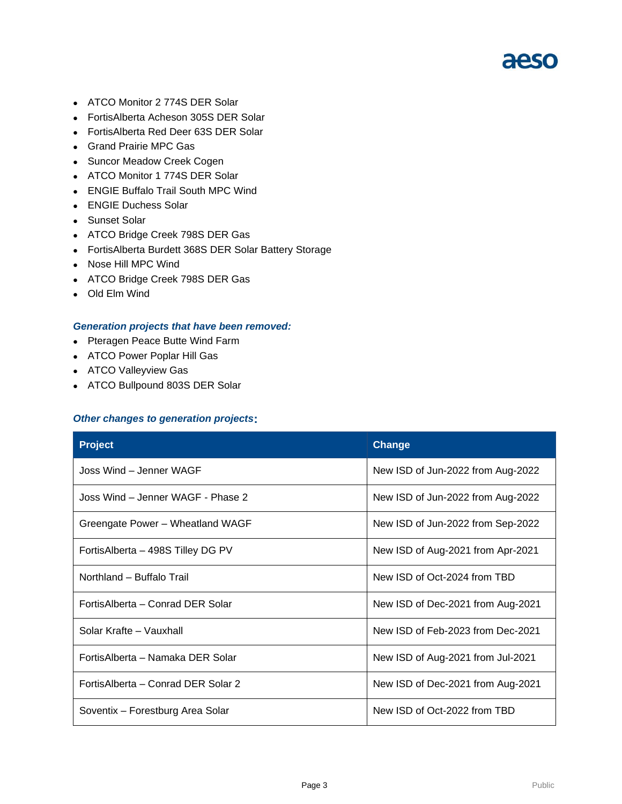- ⚫ ATCO Monitor 2 774S DER Solar
- ⚫ FortisAlberta Acheson 305S DER Solar
- ⚫ FortisAlberta Red Deer 63S DER Solar
- ⚫ Grand Prairie MPC Gas
- ⚫ Suncor Meadow Creek Cogen
- ⚫ ATCO Monitor 1 774S DER Solar
- ⚫ ENGIE Buffalo Trail South MPC Wind
- ⚫ ENGIE Duchess Solar
- Sunset Solar
- ⚫ ATCO Bridge Creek 798S DER Gas
- ⚫ FortisAlberta Burdett 368S DER Solar Battery Storage
- ⚫ Nose Hill MPC Wind
- ⚫ ATCO Bridge Creek 798S DER Gas
- ⚫ Old Elm Wind

#### *Generation projects that have been removed:*

- ⚫ Pteragen Peace Butte Wind Farm
- ⚫ ATCO Power Poplar Hill Gas
- ⚫ ATCO Valleyview Gas
- ⚫ ATCO Bullpound 803S DER Solar

#### *Other changes to generation projects***:**

| <b>Project</b>                      | <b>Change</b>                     |  |  |
|-------------------------------------|-----------------------------------|--|--|
| Joss Wind – Jenner WAGF             | New ISD of Jun-2022 from Aug-2022 |  |  |
| Joss Wind - Jenner WAGF - Phase 2   | New ISD of Jun-2022 from Aug-2022 |  |  |
| Greengate Power - Wheatland WAGF    | New ISD of Jun-2022 from Sep-2022 |  |  |
| FortisAlberta – 498S Tilley DG PV   | New ISD of Aug-2021 from Apr-2021 |  |  |
| Northland - Buffalo Trail           | New ISD of Oct-2024 from TBD      |  |  |
| FortisAlberta – Conrad DER Solar    | New ISD of Dec-2021 from Aug-2021 |  |  |
| Solar Krafte - Vauxhall             | New ISD of Feb-2023 from Dec-2021 |  |  |
| FortisAlberta – Namaka DER Solar    | New ISD of Aug-2021 from Jul-2021 |  |  |
| Fortis Alberta - Conrad DER Solar 2 | New ISD of Dec-2021 from Aug-2021 |  |  |
| Soventix - Forestburg Area Solar    | New ISD of Oct-2022 from TBD      |  |  |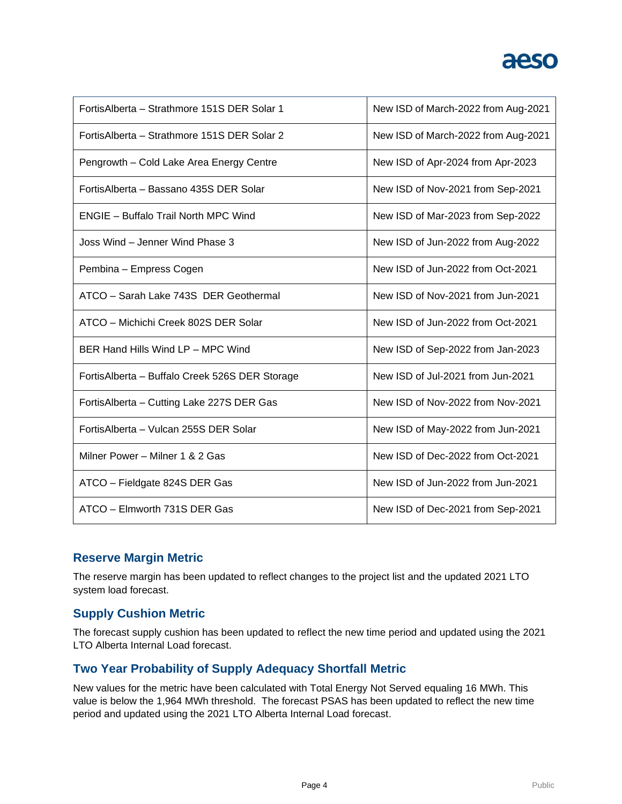| Fortis Alberta - Strathmore 151S DER Solar 1    | New ISD of March-2022 from Aug-2021 |
|-------------------------------------------------|-------------------------------------|
| Fortis Alberta - Strathmore 151S DER Solar 2    | New ISD of March-2022 from Aug-2021 |
| Pengrowth - Cold Lake Area Energy Centre        | New ISD of Apr-2024 from Apr-2023   |
| FortisAlberta - Bassano 435S DER Solar          | New ISD of Nov-2021 from Sep-2021   |
| ENGIE - Buffalo Trail North MPC Wind            | New ISD of Mar-2023 from Sep-2022   |
| Joss Wind - Jenner Wind Phase 3                 | New ISD of Jun-2022 from Aug-2022   |
| Pembina - Empress Cogen                         | New ISD of Jun-2022 from Oct-2021   |
| ATCO - Sarah Lake 743S DER Geothermal           | New ISD of Nov-2021 from Jun-2021   |
| ATCO - Michichi Creek 802S DER Solar            | New ISD of Jun-2022 from Oct-2021   |
| BER Hand Hills Wind LP - MPC Wind               | New ISD of Sep-2022 from Jan-2023   |
| Fortis Alberta - Buffalo Creek 526S DER Storage | New ISD of Jul-2021 from Jun-2021   |
| FortisAlberta - Cutting Lake 227S DER Gas       | New ISD of Nov-2022 from Nov-2021   |
| FortisAlberta - Vulcan 255S DER Solar           | New ISD of May-2022 from Jun-2021   |
| Milner Power - Milner 1 & 2 Gas                 | New ISD of Dec-2022 from Oct-2021   |
| ATCO - Fieldgate 824S DER Gas                   | New ISD of Jun-2022 from Jun-2021   |
| ATCO - Elmworth 731S DER Gas                    | New ISD of Dec-2021 from Sep-2021   |

### **Reserve Margin Metric**

The reserve margin has been updated to reflect changes to the project list and the updated 2021 LTO system load forecast.

### **Supply Cushion Metric**

The forecast supply cushion has been updated to reflect the new time period and updated using the 2021 LTO Alberta Internal Load forecast.

### **Two Year Probability of Supply Adequacy Shortfall Metric**

New values for the metric have been calculated with Total Energy Not Served equaling 16 MWh. This value is below the 1,964 MWh threshold. The forecast PSAS has been updated to reflect the new time period and updated using the 2021 LTO Alberta Internal Load forecast.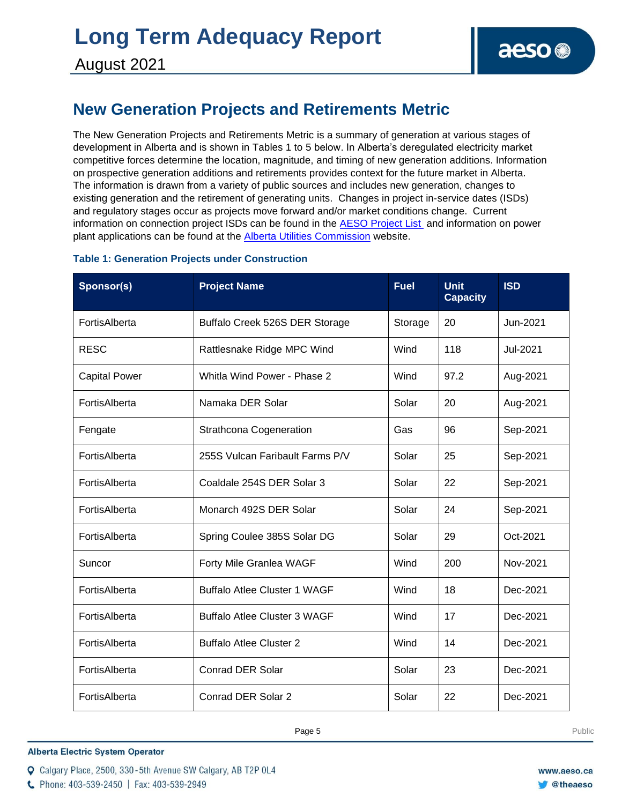### **New Generation Projects and Retirements Metric**

The New Generation Projects and Retirements Metric is a summary of generation at various stages of development in Alberta and is shown in Tables 1 to 5 below. In Alberta's deregulated electricity market competitive forces determine the location, magnitude, and timing of new generation additions. Information on prospective generation additions and retirements provides context for the future market in Alberta. The information is drawn from a variety of public sources and includes new generation, changes to existing generation and the retirement of generating units. Changes in project in-service dates (ISDs) and regulatory stages occur as projects move forward and/or market conditions change. Current information on connection project ISDs can be found in the [AESO Project List](https://www.aeso.ca/grid/connecting-to-the-grid/) and information on power plant applications can be found at the **Alberta Utilities Commission** website.

|  |  | <b>Table 1: Generation Projects under Construction</b> |  |
|--|--|--------------------------------------------------------|--|
|  |  |                                                        |  |

| Sponsor(s)           | <b>Project Name</b>                 | <b>Fuel</b> | <b>Unit</b><br><b>Capacity</b> | <b>ISD</b> |
|----------------------|-------------------------------------|-------------|--------------------------------|------------|
| FortisAlberta        | Buffalo Creek 526S DER Storage      | Storage     | 20                             | Jun-2021   |
| <b>RESC</b>          | Rattlesnake Ridge MPC Wind          | Wind        | 118                            | Jul-2021   |
| <b>Capital Power</b> | Whitla Wind Power - Phase 2         | Wind        | 97.2                           | Aug-2021   |
| FortisAlberta        | Namaka DER Solar                    | Solar       | 20                             | Aug-2021   |
| Fengate              | <b>Strathcona Cogeneration</b>      | Gas         | 96                             | Sep-2021   |
| FortisAlberta        | 255S Vulcan Faribault Farms P/V     | Solar       | 25                             | Sep-2021   |
| FortisAlberta        | Coaldale 254S DER Solar 3           | Solar       | 22                             | Sep-2021   |
| FortisAlberta        | Monarch 492S DER Solar              | Solar       | 24                             | Sep-2021   |
| FortisAlberta        | Spring Coulee 385S Solar DG         | Solar       | 29                             | Oct-2021   |
| Suncor               | Forty Mile Granlea WAGF             | Wind        | 200                            | Nov-2021   |
| FortisAlberta        | <b>Buffalo Atlee Cluster 1 WAGF</b> | Wind        | 18                             | Dec-2021   |
| FortisAlberta        | <b>Buffalo Atlee Cluster 3 WAGF</b> | Wind        | 17                             | Dec-2021   |
| FortisAlberta        | <b>Buffalo Atlee Cluster 2</b>      | Wind        | 14                             | Dec-2021   |
| FortisAlberta        | <b>Conrad DER Solar</b>             | Solar       | 23                             | Dec-2021   |
| FortisAlberta        | Conrad DER Solar 2                  | Solar       | 22                             | Dec-2021   |

**Alberta Electric System Operator** 

C Phone: 403-539-2450 | Fax: 403-539-2949

Q Calgary Place, 2500, 330-5th Avenue SW Calgary, AB T2P 0L4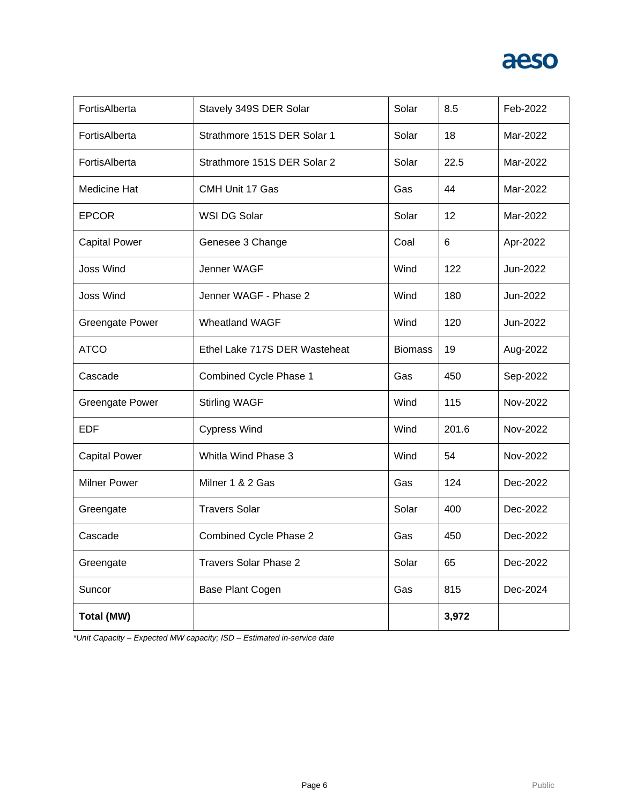| FortisAlberta          | Stavely 349S DER Solar        | Solar          | 8.5   | Feb-2022 |
|------------------------|-------------------------------|----------------|-------|----------|
| FortisAlberta          | Strathmore 151S DER Solar 1   | Solar          | 18    | Mar-2022 |
| FortisAlberta          | Strathmore 151S DER Solar 2   | Solar          | 22.5  | Mar-2022 |
| Medicine Hat           | CMH Unit 17 Gas               | Gas            | 44    | Mar-2022 |
| <b>EPCOR</b>           | WSI DG Solar                  | Solar          | 12    | Mar-2022 |
| <b>Capital Power</b>   | Genesee 3 Change              | Coal           | 6     | Apr-2022 |
| <b>Joss Wind</b>       | Jenner WAGF                   | Wind           | 122   | Jun-2022 |
| <b>Joss Wind</b>       | Jenner WAGF - Phase 2         | Wind           | 180   | Jun-2022 |
| <b>Greengate Power</b> | <b>Wheatland WAGF</b>         | Wind           | 120   | Jun-2022 |
| <b>ATCO</b>            | Ethel Lake 717S DER Wasteheat | <b>Biomass</b> | 19    | Aug-2022 |
| Cascade                | Combined Cycle Phase 1        | Gas            | 450   | Sep-2022 |
| <b>Greengate Power</b> | <b>Stirling WAGF</b>          | Wind           | 115   | Nov-2022 |
| <b>EDF</b>             | <b>Cypress Wind</b>           | Wind           | 201.6 | Nov-2022 |
| <b>Capital Power</b>   | Whitla Wind Phase 3           | Wind           | 54    | Nov-2022 |
| <b>Milner Power</b>    | Milner 1 & 2 Gas              | Gas            | 124   | Dec-2022 |
| Greengate              | <b>Travers Solar</b>          | Solar          | 400   | Dec-2022 |
| Cascade                | Combined Cycle Phase 2        | Gas            | 450   | Dec-2022 |
| Greengate              | <b>Travers Solar Phase 2</b>  | Solar          | 65    | Dec-2022 |
| Suncor                 | Base Plant Cogen              | Gas            | 815   | Dec-2024 |
| Total (MW)             |                               |                | 3,972 |          |

*\*Unit Capacity – Expected MW capacity; ISD – Estimated in-service date*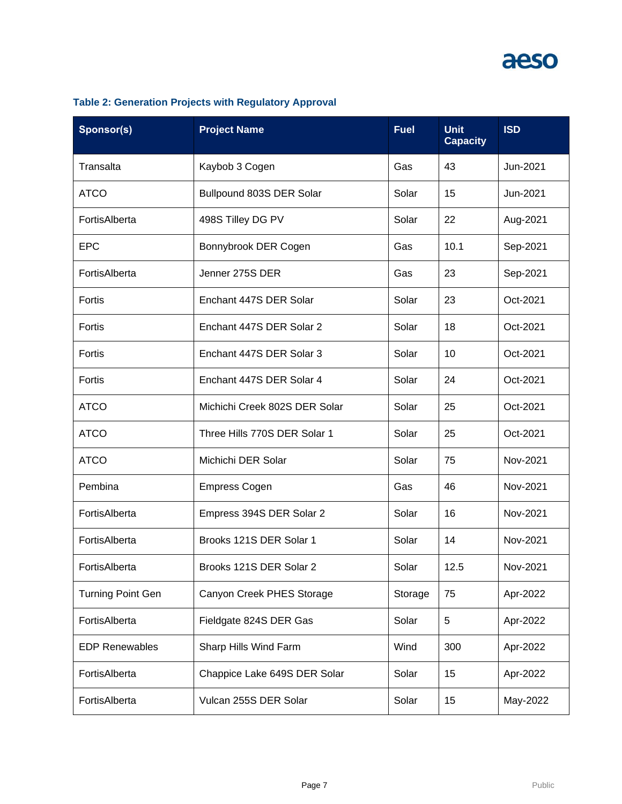| Sponsor(s)               | <b>Project Name</b>           | <b>Fuel</b> | <b>Unit</b><br><b>Capacity</b> | <b>ISD</b> |
|--------------------------|-------------------------------|-------------|--------------------------------|------------|
| Transalta                | Kaybob 3 Cogen                | Gas         | 43                             | Jun-2021   |
| <b>ATCO</b>              | Bullpound 803S DER Solar      | Solar       | 15                             | Jun-2021   |
| FortisAlberta            | 498S Tilley DG PV             | Solar       | 22                             | Aug-2021   |
| <b>EPC</b>               | Bonnybrook DER Cogen          | Gas         | 10.1                           | Sep-2021   |
| FortisAlberta            | Jenner 275S DER               | Gas         | 23                             | Sep-2021   |
| Fortis                   | Enchant 447S DER Solar        | Solar       | 23                             | Oct-2021   |
| Fortis                   | Enchant 447S DER Solar 2      | Solar       | 18                             | Oct-2021   |
| Fortis                   | Enchant 447S DER Solar 3      | Solar       | 10                             | Oct-2021   |
| Fortis                   | Enchant 447S DER Solar 4      | Solar       | 24                             | Oct-2021   |
| <b>ATCO</b>              | Michichi Creek 802S DER Solar | Solar       | 25                             | Oct-2021   |
| <b>ATCO</b>              | Three Hills 770S DER Solar 1  | Solar       | 25                             | Oct-2021   |
| <b>ATCO</b>              | Michichi DER Solar            | Solar       | 75                             | Nov-2021   |
| Pembina                  | <b>Empress Cogen</b>          | Gas         | 46                             | Nov-2021   |
| FortisAlberta            | Empress 394S DER Solar 2      | Solar       | 16                             | Nov-2021   |
| FortisAlberta            | Brooks 121S DER Solar 1       | Solar       | 14                             | Nov-2021   |
| FortisAlberta            | Brooks 121S DER Solar 2       | Solar       | 12.5                           | Nov-2021   |
| <b>Turning Point Gen</b> | Canyon Creek PHES Storage     | Storage     | 75                             | Apr-2022   |
| FortisAlberta            | Fieldgate 824S DER Gas        | Solar       | $\overline{5}$                 | Apr-2022   |
| <b>EDP Renewables</b>    | Sharp Hills Wind Farm         | Wind        | 300                            | Apr-2022   |
| FortisAlberta            | Chappice Lake 649S DER Solar  | Solar       | 15                             | Apr-2022   |
| FortisAlberta            | Vulcan 255S DER Solar         | Solar       | 15                             | May-2022   |

### **Table 2: Generation Projects with Regulatory Approval**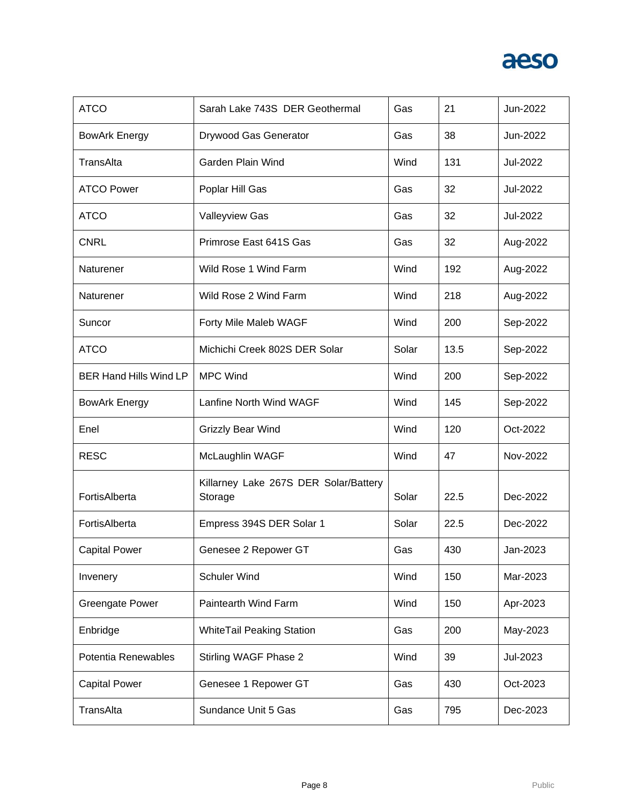| <b>ATCO</b>                   | Sarah Lake 743S DER Geothermal                   | Gas   | 21   | Jun-2022 |
|-------------------------------|--------------------------------------------------|-------|------|----------|
| <b>BowArk Energy</b>          | Drywood Gas Generator                            | Gas   | 38   | Jun-2022 |
| TransAlta                     | Garden Plain Wind                                | Wind  | 131  | Jul-2022 |
| <b>ATCO Power</b>             | Poplar Hill Gas                                  | Gas   | 32   | Jul-2022 |
| <b>ATCO</b>                   | <b>Valleyview Gas</b>                            | Gas   | 32   | Jul-2022 |
| <b>CNRL</b>                   | Primrose East 641S Gas                           | Gas   | 32   | Aug-2022 |
| Naturener                     | Wild Rose 1 Wind Farm                            | Wind  | 192  | Aug-2022 |
| Naturener                     | Wild Rose 2 Wind Farm                            | Wind  | 218  | Aug-2022 |
| Suncor                        | Forty Mile Maleb WAGF                            | Wind  | 200  | Sep-2022 |
| <b>ATCO</b>                   | Michichi Creek 802S DER Solar                    | Solar | 13.5 | Sep-2022 |
| <b>BER Hand Hills Wind LP</b> | <b>MPC Wind</b>                                  | Wind  | 200  | Sep-2022 |
| <b>BowArk Energy</b>          | Lanfine North Wind WAGF                          | Wind  | 145  | Sep-2022 |
| Enel                          | Grizzly Bear Wind                                | Wind  | 120  | Oct-2022 |
| <b>RESC</b>                   | McLaughlin WAGF                                  | Wind  | 47   | Nov-2022 |
| FortisAlberta                 | Killarney Lake 267S DER Solar/Battery<br>Storage | Solar | 22.5 | Dec-2022 |
| FortisAlberta                 | Empress 394S DER Solar 1                         | Solar | 22.5 | Dec-2022 |
| <b>Capital Power</b>          | Genesee 2 Repower GT                             | Gas   | 430  | Jan-2023 |
| Invenery                      | <b>Schuler Wind</b>                              | Wind  | 150  | Mar-2023 |
| <b>Greengate Power</b>        | Paintearth Wind Farm                             | Wind  | 150  | Apr-2023 |
| Enbridge                      | <b>WhiteTail Peaking Station</b>                 | Gas   | 200  | May-2023 |
| Potentia Renewables           | Stirling WAGF Phase 2                            | Wind  | 39   | Jul-2023 |
| <b>Capital Power</b>          | Genesee 1 Repower GT                             | Gas   | 430  | Oct-2023 |
| TransAlta                     | Sundance Unit 5 Gas                              | Gas   | 795  | Dec-2023 |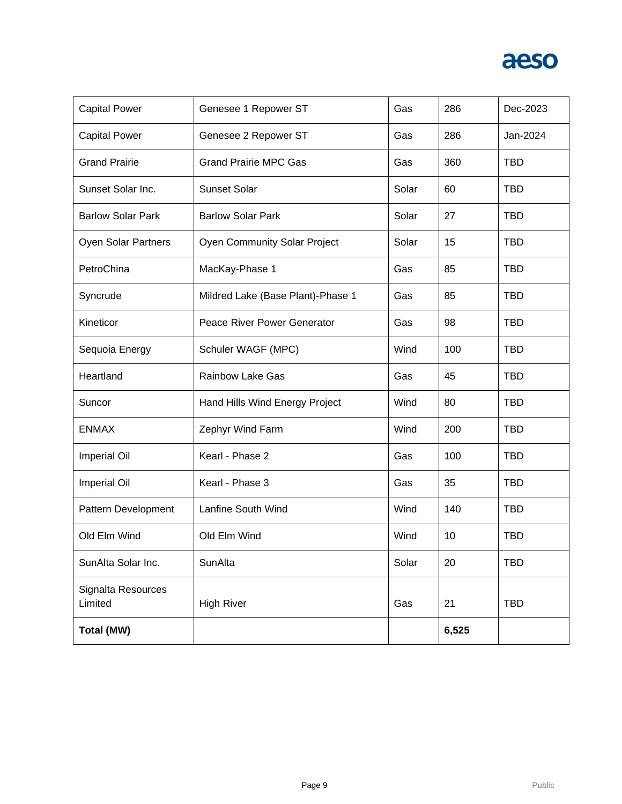

| <b>Capital Power</b>          | Genesee 1 Repower ST                | Gas   | 286   | Dec-2023   |
|-------------------------------|-------------------------------------|-------|-------|------------|
| <b>Capital Power</b>          | Genesee 2 Repower ST                | Gas   | 286   | Jan-2024   |
| <b>Grand Prairie</b>          | <b>Grand Prairie MPC Gas</b>        | Gas   | 360   | <b>TBD</b> |
| Sunset Solar Inc.             | Sunset Solar                        | Solar | 60    | <b>TBD</b> |
| <b>Barlow Solar Park</b>      | <b>Barlow Solar Park</b>            | Solar | 27    | <b>TBD</b> |
| Oyen Solar Partners           | <b>Oyen Community Solar Project</b> | Solar | 15    | <b>TBD</b> |
| PetroChina                    | MacKay-Phase 1                      | Gas   | 85    | <b>TBD</b> |
| Syncrude                      | Mildred Lake (Base Plant)-Phase 1   | Gas   | 85    | <b>TBD</b> |
| Kineticor                     | Peace River Power Generator         | Gas   | 98    | <b>TBD</b> |
| Sequoia Energy                | Schuler WAGF (MPC)                  | Wind  | 100   | <b>TBD</b> |
| Heartland                     | <b>Rainbow Lake Gas</b>             | Gas   | 45    | <b>TBD</b> |
| Suncor                        | Hand Hills Wind Energy Project      | Wind  | 80    | <b>TBD</b> |
| <b>ENMAX</b>                  | Zephyr Wind Farm                    | Wind  | 200   | <b>TBD</b> |
| <b>Imperial Oil</b>           | Kearl - Phase 2                     | Gas   | 100   | <b>TBD</b> |
| <b>Imperial Oil</b>           | Kearl - Phase 3                     | Gas   | 35    | <b>TBD</b> |
| Pattern Development           | Lanfine South Wind                  | Wind  | 140   | <b>TBD</b> |
| Old Elm Wind                  | Old Elm Wind                        | Wind  | 10    | <b>TBD</b> |
| SunAlta Solar Inc.            | SunAlta                             | Solar | 20    | <b>TBD</b> |
| Signalta Resources<br>Limited | <b>High River</b>                   | Gas   | 21    | <b>TBD</b> |
| <b>Total (MW)</b>             |                                     |       | 6,525 |            |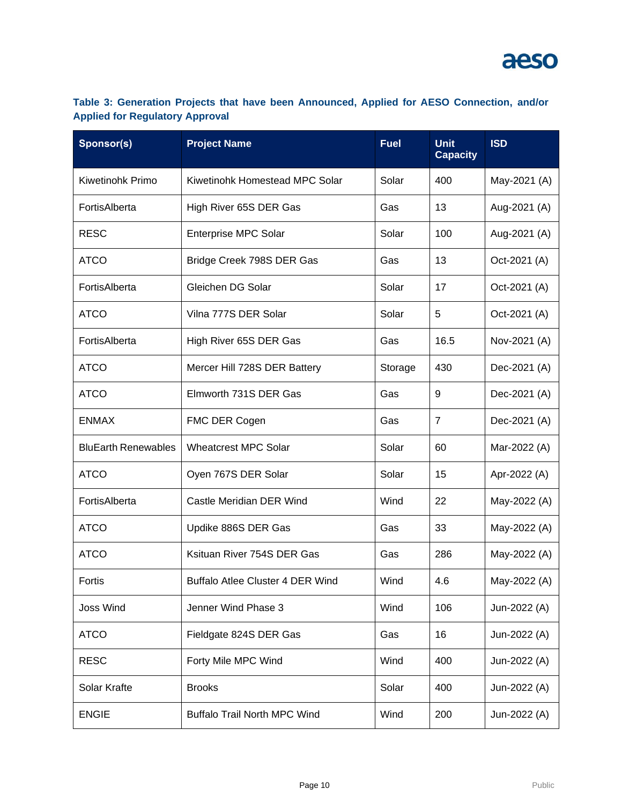### **Table 3: Generation Projects that have been Announced, Applied for AESO Connection, and/or Applied for Regulatory Approval**

| Sponsor(s)                 | <b>Project Name</b>                 | <b>Fuel</b> | <b>Unit</b><br><b>Capacity</b> | <b>ISD</b>   |
|----------------------------|-------------------------------------|-------------|--------------------------------|--------------|
| Kiwetinohk Primo           | Kiwetinohk Homestead MPC Solar      | Solar       | 400                            | May-2021 (A) |
| FortisAlberta              | High River 65S DER Gas              | Gas         | 13                             | Aug-2021 (A) |
| <b>RESC</b>                | <b>Enterprise MPC Solar</b>         | Solar       | 100                            | Aug-2021 (A) |
| <b>ATCO</b>                | Bridge Creek 798S DER Gas           | Gas         | 13                             | Oct-2021 (A) |
| FortisAlberta              | Gleichen DG Solar                   | Solar       | 17                             | Oct-2021 (A) |
| <b>ATCO</b>                | Vilna 777S DER Solar                | Solar       | 5                              | Oct-2021 (A) |
| FortisAlberta              | High River 65S DER Gas              | Gas         | 16.5                           | Nov-2021 (A) |
| <b>ATCO</b>                | Mercer Hill 728S DER Battery        | Storage     | 430                            | Dec-2021 (A) |
| <b>ATCO</b>                | Elmworth 731S DER Gas               | Gas         | 9                              | Dec-2021 (A) |
| <b>ENMAX</b>               | FMC DER Cogen                       | Gas         | $\overline{7}$                 | Dec-2021 (A) |
| <b>BluEarth Renewables</b> | <b>Wheatcrest MPC Solar</b>         | Solar       | 60                             | Mar-2022 (A) |
| <b>ATCO</b>                | Oyen 767S DER Solar                 | Solar       | 15                             | Apr-2022 (A) |
| FortisAlberta              | Castle Meridian DER Wind            | Wind        | 22                             | May-2022 (A) |
| <b>ATCO</b>                | Updike 886S DER Gas                 | Gas         | 33                             | May-2022 (A) |
| <b>ATCO</b>                | Ksituan River 754S DER Gas          | Gas         | 286                            | May-2022 (A) |
| Fortis                     | Buffalo Atlee Cluster 4 DER Wind    | Wind        | 4.6                            | May-2022 (A) |
| <b>Joss Wind</b>           | Jenner Wind Phase 3                 | Wind        | 106                            | Jun-2022 (A) |
| <b>ATCO</b>                | Fieldgate 824S DER Gas              | Gas         | 16                             | Jun-2022 (A) |
| <b>RESC</b>                | Forty Mile MPC Wind                 | Wind        | 400                            | Jun-2022 (A) |
| Solar Krafte               | <b>Brooks</b>                       | Solar       | 400                            | Jun-2022 (A) |
| <b>ENGIE</b>               | <b>Buffalo Trail North MPC Wind</b> | Wind        | 200                            | Jun-2022 (A) |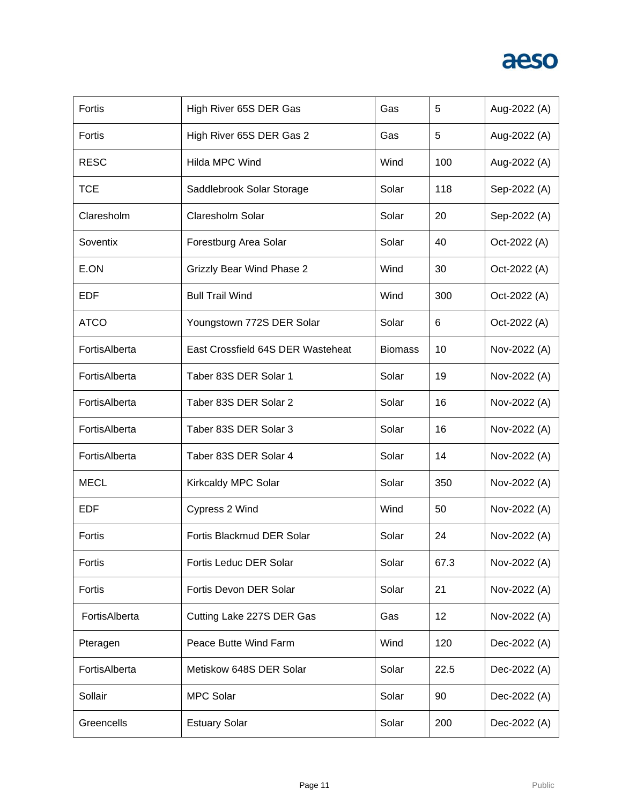| Fortis        | High River 65S DER Gas            | Gas            | 5    | Aug-2022 (A) |
|---------------|-----------------------------------|----------------|------|--------------|
| Fortis        | High River 65S DER Gas 2          | Gas            | 5    | Aug-2022 (A) |
| <b>RESC</b>   | <b>Hilda MPC Wind</b>             | Wind           | 100  | Aug-2022 (A) |
| <b>TCE</b>    | Saddlebrook Solar Storage         | Solar          | 118  | Sep-2022 (A) |
| Claresholm    | Claresholm Solar                  | Solar          | 20   | Sep-2022 (A) |
| Soventix      | Forestburg Area Solar             | Solar          | 40   | Oct-2022 (A) |
| E.ON          | <b>Grizzly Bear Wind Phase 2</b>  | Wind           | 30   | Oct-2022 (A) |
| EDF           | <b>Bull Trail Wind</b>            | Wind           | 300  | Oct-2022 (A) |
| <b>ATCO</b>   | Youngstown 772S DER Solar         | Solar          | 6    | Oct-2022 (A) |
| FortisAlberta | East Crossfield 64S DER Wasteheat | <b>Biomass</b> | 10   | Nov-2022 (A) |
| FortisAlberta | Taber 83S DER Solar 1             | Solar          | 19   | Nov-2022 (A) |
| FortisAlberta | Taber 83S DER Solar 2             | Solar          | 16   | Nov-2022 (A) |
| FortisAlberta | Taber 83S DER Solar 3             | Solar          | 16   | Nov-2022 (A) |
| FortisAlberta | Taber 83S DER Solar 4             | Solar          | 14   | Nov-2022 (A) |
| <b>MECL</b>   | Kirkcaldy MPC Solar               | Solar          | 350  | Nov-2022 (A) |
| <b>EDF</b>    | Cypress 2 Wind                    | Wind           | 50   | Nov-2022 (A) |
| Fortis        | Fortis Blackmud DER Solar         | Solar          | 24   | Nov-2022 (A) |
| Fortis        | Fortis Leduc DER Solar            | Solar          | 67.3 | Nov-2022 (A) |
| Fortis        | Fortis Devon DER Solar            | Solar          | 21   | Nov-2022 (A) |
| FortisAlberta | Cutting Lake 227S DER Gas         | Gas            | 12   | Nov-2022 (A) |
| Pteragen      | Peace Butte Wind Farm             | Wind           | 120  | Dec-2022 (A) |
| FortisAlberta | Metiskow 648S DER Solar           | Solar          | 22.5 | Dec-2022 (A) |
| Sollair       | <b>MPC Solar</b>                  | Solar          | 90   | Dec-2022 (A) |
| Greencells    | <b>Estuary Solar</b>              | Solar          | 200  | Dec-2022 (A) |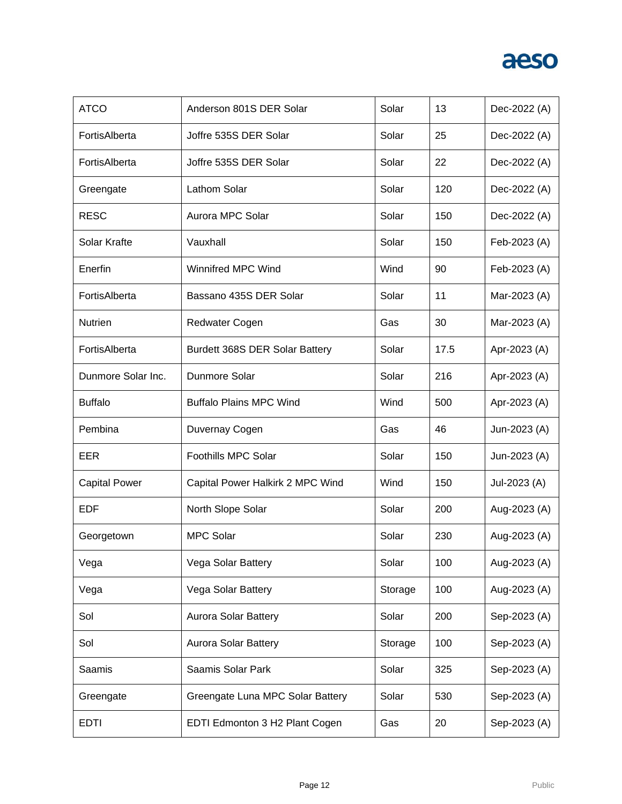| <b>ATCO</b>          | Anderson 801S DER Solar          | Solar   | 13   | Dec-2022 (A) |
|----------------------|----------------------------------|---------|------|--------------|
| FortisAlberta        | Joffre 535S DER Solar            | Solar   | 25   | Dec-2022 (A) |
| FortisAlberta        | Joffre 535S DER Solar            | Solar   | 22   | Dec-2022 (A) |
| Greengate            | Lathom Solar                     | Solar   | 120  | Dec-2022 (A) |
| <b>RESC</b>          | Aurora MPC Solar                 | Solar   | 150  | Dec-2022 (A) |
| Solar Krafte         | Vauxhall                         | Solar   | 150  | Feb-2023 (A) |
| Enerfin              | Winnifred MPC Wind               | Wind    | 90   | Feb-2023 (A) |
| FortisAlberta        | Bassano 435S DER Solar           | Solar   | 11   | Mar-2023 (A) |
| <b>Nutrien</b>       | Redwater Cogen                   | Gas     | 30   | Mar-2023 (A) |
| FortisAlberta        | Burdett 368S DER Solar Battery   | Solar   | 17.5 | Apr-2023 (A) |
| Dunmore Solar Inc.   | Dunmore Solar                    | Solar   | 216  | Apr-2023 (A) |
| <b>Buffalo</b>       | <b>Buffalo Plains MPC Wind</b>   | Wind    | 500  | Apr-2023 (A) |
| Pembina              | Duvernay Cogen                   | Gas     | 46   | Jun-2023 (A) |
| EER                  | Foothills MPC Solar              | Solar   | 150  | Jun-2023 (A) |
| <b>Capital Power</b> | Capital Power Halkirk 2 MPC Wind | Wind    | 150  | Jul-2023 (A) |
| <b>EDF</b>           | North Slope Solar                | Solar   | 200  | Aug-2023 (A) |
| Georgetown           | <b>MPC Solar</b>                 | Solar   | 230  | Aug-2023 (A) |
| Vega                 | Vega Solar Battery               | Solar   | 100  | Aug-2023 (A) |
| Vega                 | Vega Solar Battery               | Storage | 100  | Aug-2023 (A) |
| Sol                  | Aurora Solar Battery             | Solar   | 200  | Sep-2023 (A) |
| Sol                  | Aurora Solar Battery             | Storage | 100  | Sep-2023 (A) |
| Saamis               | Saamis Solar Park                | Solar   | 325  | Sep-2023 (A) |
| Greengate            | Greengate Luna MPC Solar Battery | Solar   | 530  | Sep-2023 (A) |
| <b>EDTI</b>          | EDTI Edmonton 3 H2 Plant Cogen   | Gas     | 20   | Sep-2023 (A) |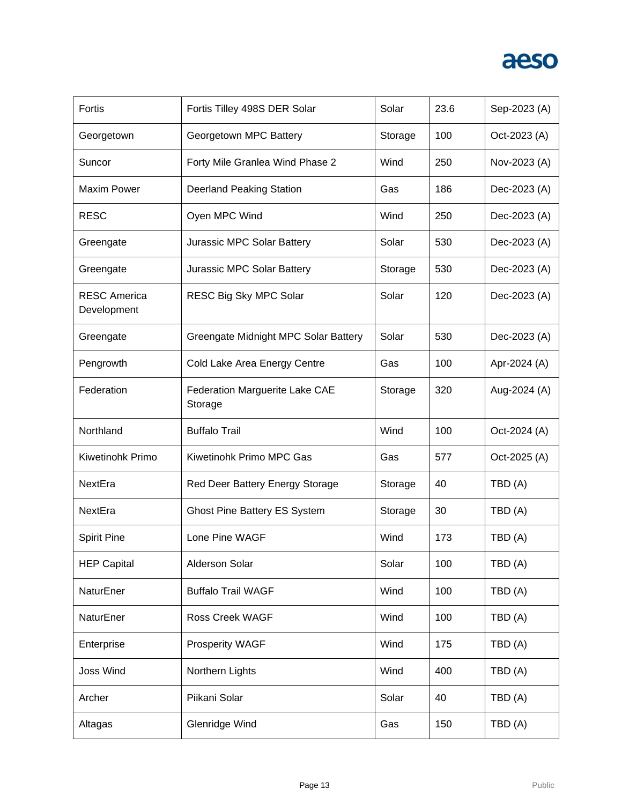| Fortis                             | Fortis Tilley 498S DER Solar              | Solar   | 23.6 | Sep-2023 (A) |
|------------------------------------|-------------------------------------------|---------|------|--------------|
| Georgetown                         | Georgetown MPC Battery                    | Storage | 100  | Oct-2023 (A) |
| Suncor                             | Forty Mile Granlea Wind Phase 2           | Wind    | 250  | Nov-2023 (A) |
| <b>Maxim Power</b>                 | <b>Deerland Peaking Station</b>           | Gas     | 186  | Dec-2023 (A) |
| <b>RESC</b>                        | Oyen MPC Wind                             | Wind    | 250  | Dec-2023 (A) |
| Greengate                          | Jurassic MPC Solar Battery                | Solar   | 530  | Dec-2023 (A) |
| Greengate                          | Jurassic MPC Solar Battery                | Storage | 530  | Dec-2023 (A) |
| <b>RESC America</b><br>Development | RESC Big Sky MPC Solar                    | Solar   | 120  | Dec-2023 (A) |
| Greengate                          | Greengate Midnight MPC Solar Battery      | Solar   | 530  | Dec-2023 (A) |
| Pengrowth                          | Cold Lake Area Energy Centre              | Gas     | 100  | Apr-2024 (A) |
| Federation                         | Federation Marguerite Lake CAE<br>Storage | Storage | 320  | Aug-2024 (A) |
| Northland                          | <b>Buffalo Trail</b>                      | Wind    | 100  | Oct-2024 (A) |
| Kiwetinohk Primo                   | Kiwetinohk Primo MPC Gas                  | Gas     | 577  | Oct-2025 (A) |
| NextEra                            | Red Deer Battery Energy Storage           | Storage | 40   | TBD (A)      |
| NextEra                            | <b>Ghost Pine Battery ES System</b>       | Storage | 30   | TBD (A)      |
| <b>Spirit Pine</b>                 | Lone Pine WAGF                            | Wind    | 173  | TBD (A)      |
| <b>HEP Capital</b>                 | Alderson Solar                            | Solar   | 100  | TBD (A)      |
| NaturEner                          | <b>Buffalo Trail WAGF</b>                 | Wind    | 100  | TBD (A)      |
| NaturEner                          | <b>Ross Creek WAGF</b>                    | Wind    | 100  | TBD (A)      |
| Enterprise                         | <b>Prosperity WAGF</b>                    | Wind    | 175  | TBD(A)       |
| <b>Joss Wind</b>                   | Northern Lights                           | Wind    | 400  | TBD (A)      |
| Archer                             | Piikani Solar                             | Solar   | 40   | TBD (A)      |
| Altagas                            | Glenridge Wind                            | Gas     | 150  | TBD(A)       |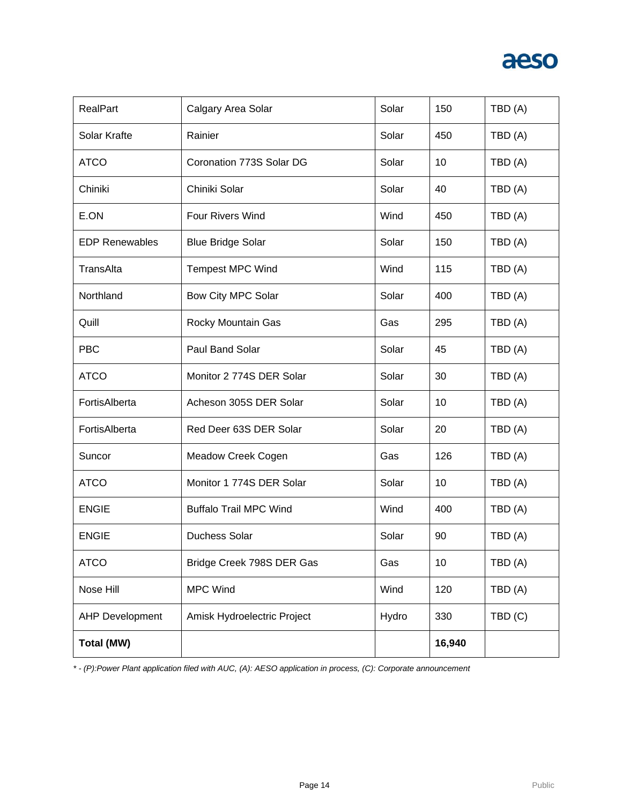| <b>RealPart</b>        | Calgary Area Solar            | Solar | 150    | TBD (A) |
|------------------------|-------------------------------|-------|--------|---------|
| Solar Krafte           | Rainier                       | Solar | 450    | TBD (A) |
| <b>ATCO</b>            | Coronation 773S Solar DG      | Solar | 10     | TBD(A)  |
| Chiniki                | Chiniki Solar                 | Solar | 40     | TBD (A) |
| E.ON                   | <b>Four Rivers Wind</b>       | Wind  | 450    | TBD (A) |
| <b>EDP Renewables</b>  | <b>Blue Bridge Solar</b>      | Solar | 150    | TBD (A) |
| TransAlta              | <b>Tempest MPC Wind</b>       | Wind  | 115    | TBD(A)  |
| Northland              | Bow City MPC Solar            | Solar | 400    | TBD (A) |
| Quill                  | Rocky Mountain Gas            | Gas   | 295    | TBD (A) |
| <b>PBC</b>             | Paul Band Solar               | Solar | 45     | TBD (A) |
| <b>ATCO</b>            | Monitor 2 774S DER Solar      | Solar | 30     | TBD (A) |
| FortisAlberta          | Acheson 305S DER Solar        | Solar | 10     | TBD (A) |
| FortisAlberta          | Red Deer 63S DER Solar        | Solar | 20     | TBD (A) |
| Suncor                 | Meadow Creek Cogen            | Gas   | 126    | TBD (A) |
| <b>ATCO</b>            | Monitor 1 774S DER Solar      | Solar | 10     | TBD (A) |
| <b>ENGIE</b>           | <b>Buffalo Trail MPC Wind</b> | Wind  | 400    | TBD(A)  |
| <b>ENGIE</b>           | <b>Duchess Solar</b>          | Solar | 90     | TBD (A) |
| <b>ATCO</b>            | Bridge Creek 798S DER Gas     | Gas   | 10     | TBD (A) |
| Nose Hill              | <b>MPC Wind</b>               | Wind  | 120    | TBD (A) |
| <b>AHP Development</b> | Amisk Hydroelectric Project   | Hydro | 330    | TBD(C)  |
| Total (MW)             |                               |       | 16,940 |         |

*\* - (P):Power Plant application filed with AUC, (A): AESO application in process, (C): Corporate announcement*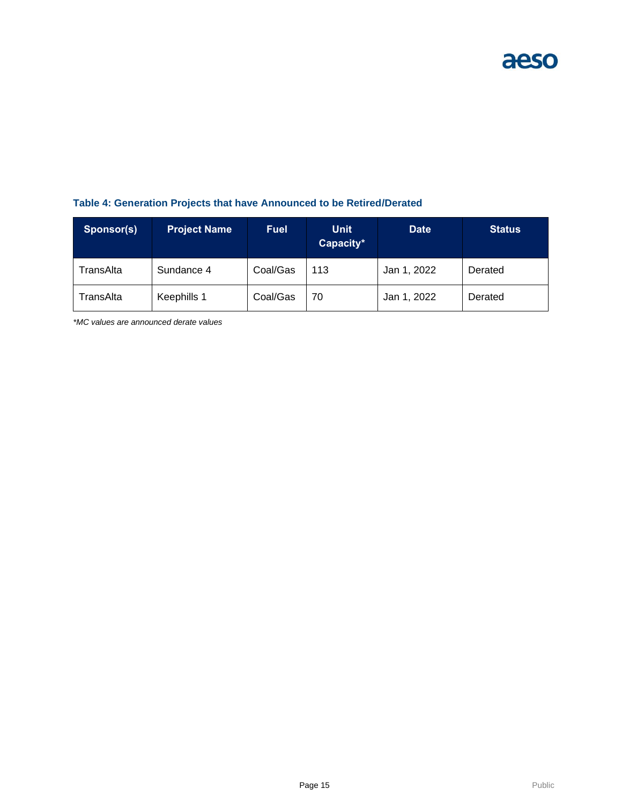### **Table 4: Generation Projects that have Announced to be Retired/Derated**

| Sponsor(s) | <b>Project Name</b> | <b>Fuel</b> | <b>Unit</b><br>Capacity* | <b>Date</b> | <b>Status</b> |
|------------|---------------------|-------------|--------------------------|-------------|---------------|
| TransAlta  | Sundance 4          | Coal/Gas    | 113                      | Jan 1, 2022 | Derated       |
| TransAlta  | Keephills 1         | Coal/Gas    | 70                       | Jan 1, 2022 | Derated       |

*\*MC values are announced derate values*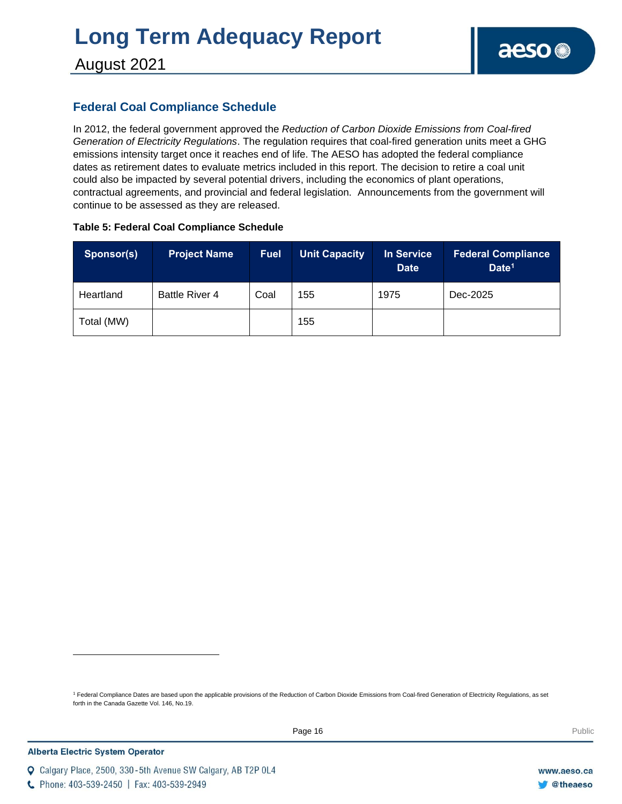### August 2021

### **Federal Coal Compliance Schedule**

In 2012, the federal government approved the *Reduction of Carbon Dioxide Emissions from Coal-fired Generation of Electricity Regulations*. The regulation requires that coal-fired generation units meet a GHG emissions intensity target once it reaches end of life. The AESO has adopted the federal compliance dates as retirement dates to evaluate metrics included in this report. The decision to retire a coal unit could also be impacted by several potential drivers, including the economics of plant operations, contractual agreements, and provincial and federal legislation. Announcements from the government will continue to be assessed as they are released.

#### **Table 5: Federal Coal Compliance Schedule**

| Sponsor(s) | <b>Project Name</b>   | <b>Fuel</b> | <b>Unit Capacity</b> | In Service<br><b>Date</b> | <b>Federal Compliance</b><br>Date <sup>1</sup> |
|------------|-----------------------|-------------|----------------------|---------------------------|------------------------------------------------|
| Heartland  | <b>Battle River 4</b> | Coal        | 155                  | 1975                      | Dec-2025                                       |
| Total (MW) |                       |             | 155                  |                           |                                                |

<sup>1</sup> Federal Compliance Dates are based upon the applicable provisions of the Reduction of Carbon Dioxide Emissions from Coal-fired Generation of Electricity Regulations, as set forth in the Canada Gazette Vol. 146, No.19.

C Phone: 403-539-2450 | Fax: 403-539-2949

Q Calgary Place, 2500, 330-5th Avenue SW Calgary, AB T2P 0L4

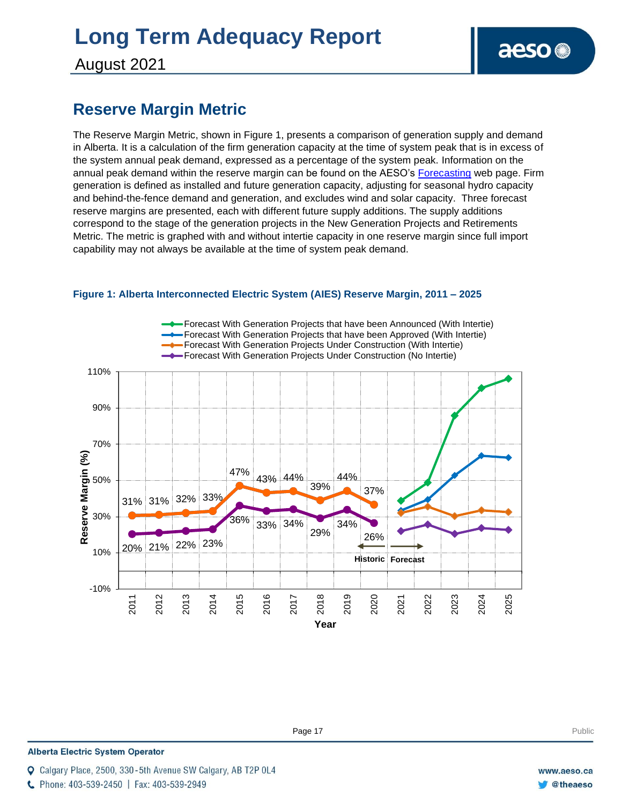August 2021

### **Reserve Margin Metric**

The Reserve Margin Metric, shown in Figure 1, presents a comparison of generation supply and demand in Alberta. It is a calculation of the firm generation capacity at the time of system peak that is in excess of the system annual peak demand, expressed as a percentage of the system peak. Information on the annual peak demand within the reserve margin can be found on the AESO's [Forecasting](https://www.aeso.ca/grid/forecasting) web page. Firm generation is defined as installed and future generation capacity, adjusting for seasonal hydro capacity and behind-the-fence demand and generation, and excludes wind and solar capacity. Three forecast reserve margins are presented, each with different future supply additions. The supply additions correspond to the stage of the generation projects in the New Generation Projects and Retirements Metric. The metric is graphed with and without intertie capacity in one reserve margin since full import capability may not always be available at the time of system peak demand.



#### **Figure 1: Alberta Interconnected Electric System (AIES) Reserve Margin, 2011 – 2025**

**Enter Football Page 17** Public Public Public Public Public Public Public Public Public Public Public Public Public Public Public Public Public Public Public Public Public Public Public Public Public Public Public Public P

**Alberta Electric System Operator** 

Calgary Place, 2500, 330-5th Avenue SW Calgary, AB T2P 0L4

C Phone: 403-539-2450 | Fax: 403-539-2949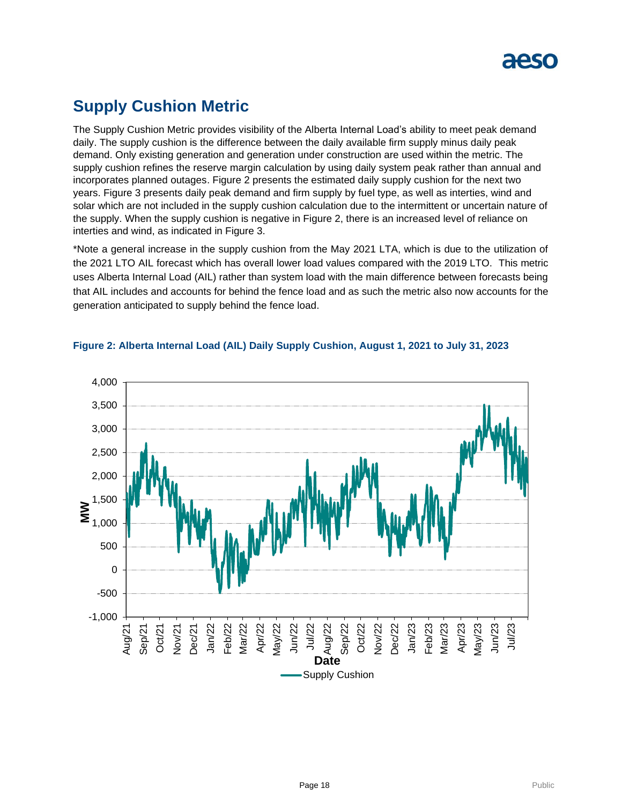### **Supply Cushion Metric**

The Supply Cushion Metric provides visibility of the Alberta Internal Load's ability to meet peak demand daily. The supply cushion is the difference between the daily available firm supply minus daily peak demand. Only existing generation and generation under construction are used within the metric. The supply cushion refines the reserve margin calculation by using daily system peak rather than annual and incorporates planned outages. Figure 2 presents the estimated daily supply cushion for the next two years. Figure 3 presents daily peak demand and firm supply by fuel type, as well as interties, wind and solar which are not included in the supply cushion calculation due to the intermittent or uncertain nature of the supply. When the supply cushion is negative in Figure 2, there is an increased level of reliance on interties and wind, as indicated in Figure 3.

\*Note a general increase in the supply cushion from the May 2021 LTA, which is due to the utilization of the 2021 LTO AIL forecast which has overall lower load values compared with the 2019 LTO. This metric uses Alberta Internal Load (AIL) rather than system load with the main difference between forecasts being that AIL includes and accounts for behind the fence load and as such the metric also now accounts for the generation anticipated to supply behind the fence load.



#### **Figure 2: Alberta Internal Load (AIL) Daily Supply Cushion, August 1, 2021 to July 31, 2023**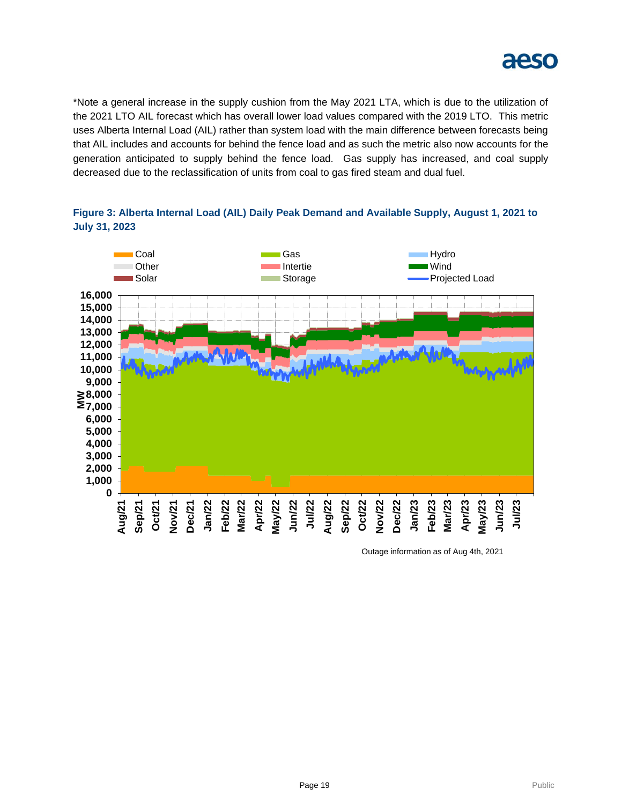

\*Note a general increase in the supply cushion from the May 2021 LTA, which is due to the utilization of the 2021 LTO AIL forecast which has overall lower load values compared with the 2019 LTO. This metric uses Alberta Internal Load (AIL) rather than system load with the main difference between forecasts being that AIL includes and accounts for behind the fence load and as such the metric also now accounts for the generation anticipated to supply behind the fence load. Gas supply has increased, and coal supply decreased due to the reclassification of units from coal to gas fired steam and dual fuel.



**Figure 3: Alberta Internal Load (AIL) Daily Peak Demand and Available Supply, August 1, 2021 to July 31, 2023**

Outage information as of Aug 4th, 2021